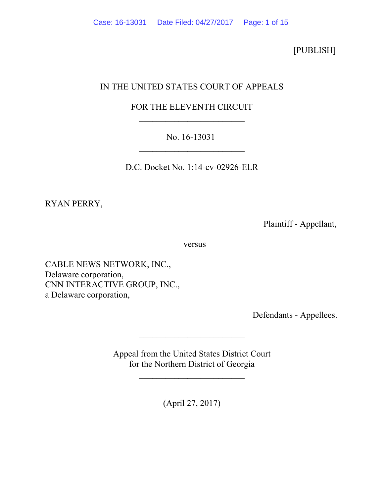[PUBLISH]

# IN THE UNITED STATES COURT OF APPEALS

# FOR THE ELEVENTH CIRCUIT

## No. 16-13031  $\mathcal{L}_\text{max}$  , where  $\mathcal{L}_\text{max}$  , we have the set of  $\mathcal{L}_\text{max}$

D.C. Docket No. 1:14-cv-02926-ELR

RYAN PERRY,

Plaintiff - Appellant,

versus

CABLE NEWS NETWORK, INC., Delaware corporation, CNN INTERACTIVE GROUP, INC., a Delaware corporation,

Defendants - Appellees.

Appeal from the United States District Court for the Northern District of Georgia

 $\mathcal{L}_\text{max}$  , where  $\mathcal{L}_\text{max}$  , we have the set of  $\mathcal{L}_\text{max}$ 

 $\mathcal{L}_\text{max}$  , where  $\mathcal{L}_\text{max}$  , we have the set of  $\mathcal{L}_\text{max}$ 

(April 27, 2017)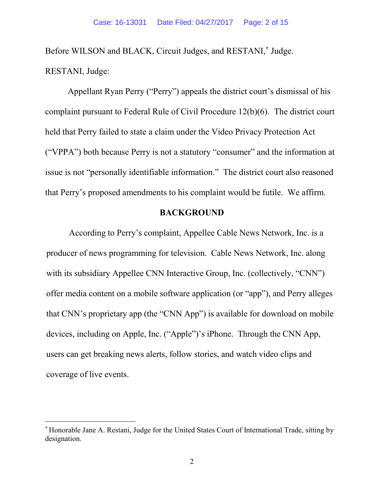Before WILSON and BLACK, Circuit Judges, and RESTANI,<sup>\*</sup> Judge. RESTANI, Judge:

Appellant Ryan Perry ("Perry") appeals the district court's dismissal of his complaint pursuant to Federal Rule of Civil Procedure 12(b)(6). The district court held that Perry failed to state a claim under the Video Privacy Protection Act ("VPPA") both because Perry is not a statutory "consumer" and the information at issue is not "personally identifiable information." The district court also reasoned that Perry's proposed amendments to his complaint would be futile. We affirm.

## **BACKGROUND**

According to Perry's complaint, Appellee Cable News Network, Inc. is a producer of news programming for television. Cable News Network, Inc. along with its subsidiary Appellee CNN Interactive Group, Inc. (collectively, "CNN") offer media content on a mobile software application (or "app"), and Perry alleges that CNN's proprietary app (the "CNN App") is available for download on mobile devices, including on Apple, Inc. ("Apple")'s iPhone. Through the CNN App, users can get breaking news alerts, follow stories, and watch video clips and coverage of live events.

 $\overline{a}$ 

<span id="page-1-0"></span><sup>∗</sup> Honorable Jane A. Restani, Judge for the United States Court of International Trade, sitting by designation.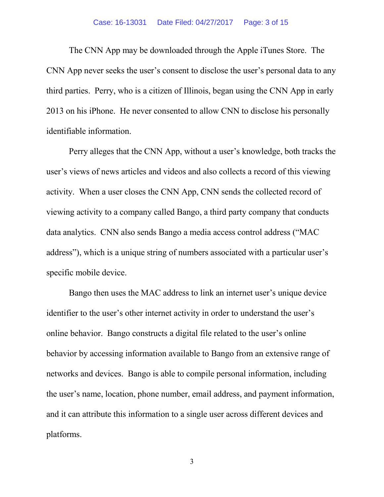#### Case: 16-13031 Date Filed: 04/27/2017 Page: 3 of 15

The CNN App may be downloaded through the Apple iTunes Store. The CNN App never seeks the user's consent to disclose the user's personal data to any third parties. Perry, who is a citizen of Illinois, began using the CNN App in early 2013 on his iPhone. He never consented to allow CNN to disclose his personally identifiable information.

Perry alleges that the CNN App, without a user's knowledge, both tracks the user's views of news articles and videos and also collects a record of this viewing activity. When a user closes the CNN App, CNN sends the collected record of viewing activity to a company called Bango, a third party company that conducts data analytics. CNN also sends Bango a media access control address ("MAC address"), which is a unique string of numbers associated with a particular user's specific mobile device.

Bango then uses the MAC address to link an internet user's unique device identifier to the user's other internet activity in order to understand the user's online behavior. Bango constructs a digital file related to the user's online behavior by accessing information available to Bango from an extensive range of networks and devices. Bango is able to compile personal information, including the user's name, location, phone number, email address, and payment information, and it can attribute this information to a single user across different devices and platforms.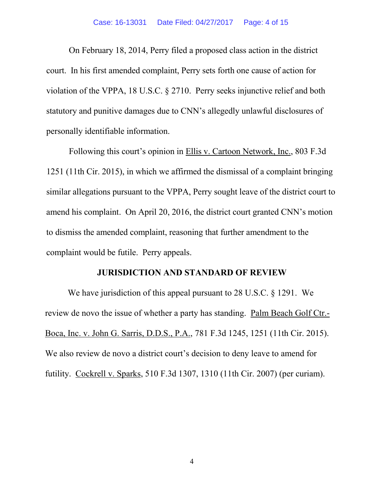On February 18, 2014, Perry filed a proposed class action in the district court. In his first amended complaint, Perry sets forth one cause of action for violation of the VPPA, 18 U.S.C. § 2710. Perry seeks injunctive relief and both statutory and punitive damages due to CNN's allegedly unlawful disclosures of personally identifiable information.

Following this court's opinion in Ellis v. Cartoon Network, Inc., 803 F.3d 1251 (11th Cir. 2015), in which we affirmed the dismissal of a complaint bringing similar allegations pursuant to the VPPA, Perry sought leave of the district court to amend his complaint. On April 20, 2016, the district court granted CNN's motion to dismiss the amended complaint, reasoning that further amendment to the complaint would be futile. Perry appeals.

#### **JURISDICTION AND STANDARD OF REVIEW**

We have jurisdiction of this appeal pursuant to 28 U.S.C. § 1291. We review de novo the issue of whether a party has standing. Palm Beach Golf Ctr.- Boca, Inc. v. John G. Sarris, D.D.S., P.A., 781 F.3d 1245, 1251 (11th Cir. 2015). We also review de novo a district court's decision to deny leave to amend for futility. Cockrell v. Sparks, 510 F.3d 1307, 1310 (11th Cir. 2007) (per curiam).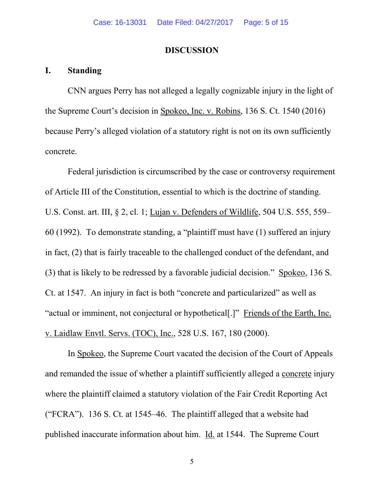#### **DISCUSSION**

### **I. Standing**

CNN argues Perry has not alleged a legally cognizable injury in the light of the Supreme Court's decision in Spokeo, Inc. v. Robins, 136 S. Ct. 1540 (2016) because Perry's alleged violation of a statutory right is not on its own sufficiently concrete.

Federal jurisdiction is circumscribed by the case or controversy requirement of Article III of the Constitution, essential to which is the doctrine of standing. U.S. Const. art. III, § 2, cl. 1; Lujan v. Defenders of Wildlife, 504 U.S. 555, 559– 60 (1992). To demonstrate standing, a "plaintiff must have (1) suffered an injury in fact, (2) that is fairly traceable to the challenged conduct of the defendant, and (3) that is likely to be redressed by a favorable judicial decision." Spokeo, 136 S. Ct. at 1547. An injury in fact is both "concrete and particularized" as well as "actual or imminent, not conjectural or hypothetical[.]" Friends of the Earth, Inc. v. Laidlaw Envtl. Servs. (TOC), Inc., 528 U.S. 167, 180 (2000).

In Spokeo, the Supreme Court vacated the decision of the Court of Appeals and remanded the issue of whether a plaintiff sufficiently alleged a concrete injury where the plaintiff claimed a statutory violation of the Fair Credit Reporting Act ("FCRA"). 136 S. Ct. at 1545–46. The plaintiff alleged that a website had published inaccurate information about him. Id. at 1544. The Supreme Court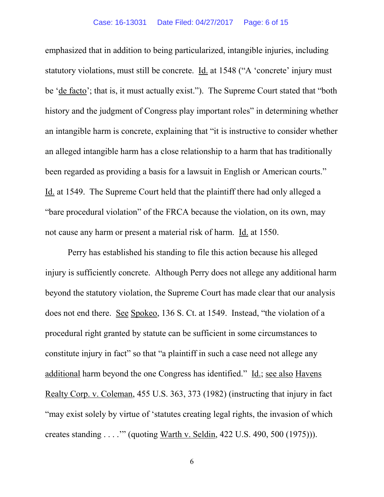emphasized that in addition to being particularized, intangible injuries, including statutory violations, must still be concrete. Id. at 1548 ("A 'concrete' injury must be 'de facto'; that is, it must actually exist."). The Supreme Court stated that "both history and the judgment of Congress play important roles" in determining whether an intangible harm is concrete, explaining that "it is instructive to consider whether an alleged intangible harm has a close relationship to a harm that has traditionally been regarded as providing a basis for a lawsuit in English or American courts." Id. at 1549. The Supreme Court held that the plaintiff there had only alleged a "bare procedural violation" of the FRCA because the violation, on its own, may not cause any harm or present a material risk of harm. Id. at 1550.

Perry has established his standing to file this action because his alleged injury is sufficiently concrete. Although Perry does not allege any additional harm beyond the statutory violation, the Supreme Court has made clear that our analysis does not end there. See Spokeo, 136 S. Ct. at 1549. Instead, "the violation of a procedural right granted by statute can be sufficient in some circumstances to constitute injury in fact" so that "a plaintiff in such a case need not allege any additional harm beyond the one Congress has identified." Id.; see also Havens Realty Corp. v. Coleman, 455 U.S. 363, 373 (1982) (instructing that injury in fact "may exist solely by virtue of 'statutes creating legal rights, the invasion of which creates standing . . . .'" (quoting Warth v. Seldin, 422 U.S. 490, 500 (1975))).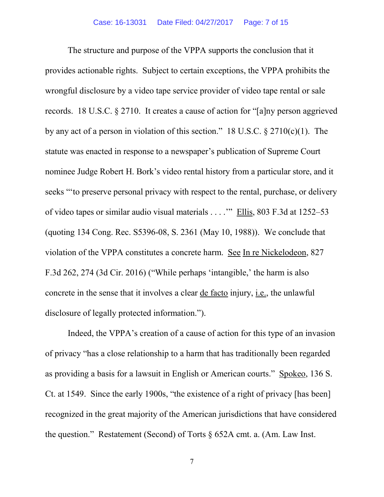The structure and purpose of the VPPA supports the conclusion that it provides actionable rights. Subject to certain exceptions, the VPPA prohibits the wrongful disclosure by a video tape service provider of video tape rental or sale records. 18 U.S.C. § 2710. It creates a cause of action for "[a]ny person aggrieved by any act of a person in violation of this section." 18 U.S.C. § 2710(c)(1). The statute was enacted in response to a newspaper's publication of Supreme Court nominee Judge Robert H. Bork's video rental history from a particular store, and it seeks "'to preserve personal privacy with respect to the rental, purchase, or delivery of video tapes or similar audio visual materials . . . .'" Ellis, 803 F.3d at 1252–53 (quoting 134 Cong. Rec. S5396-08, S. 2361 (May 10, 1988)). We conclude that violation of the VPPA constitutes a concrete harm. See In re Nickelodeon, 827 F.3d 262, 274 (3d Cir. 2016) ("While perhaps 'intangible,' the harm is also concrete in the sense that it involves a clear de facto injury, i.e., the unlawful disclosure of legally protected information.").

Indeed, the VPPA's creation of a cause of action for this type of an invasion of privacy "has a close relationship to a harm that has traditionally been regarded as providing a basis for a lawsuit in English or American courts." Spokeo, 136 S. Ct. at 1549. Since the early 1900s, "the existence of a right of privacy [has been] recognized in the great majority of the American jurisdictions that have considered the question." Restatement (Second) of Torts § 652A cmt. a. (Am. Law Inst.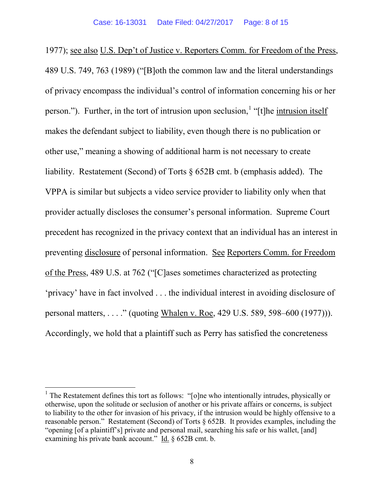1977); see also U.S. Dep't of Justice v. Reporters Comm. for Freedom of the Press, 489 U.S. 749, 763 (1989) ("[B]oth the common law and the literal understandings of privacy encompass the individual's control of information concerning his or her person."). Further, in the tort of intrusion upon seclusion, <sup>[1](#page-7-0)</sup> "[t]he intrusion itself makes the defendant subject to liability, even though there is no publication or other use," meaning a showing of additional harm is not necessary to create liability. Restatement (Second) of Torts § 652B cmt. b (emphasis added). The VPPA is similar but subjects a video service provider to liability only when that provider actually discloses the consumer's personal information. Supreme Court precedent has recognized in the privacy context that an individual has an interest in preventing disclosure of personal information. See Reporters Comm. for Freedom of the Press, 489 U.S. at 762 ("[C]ases sometimes characterized as protecting 'privacy' have in fact involved . . . the individual interest in avoiding disclosure of personal matters, . . . ." (quoting Whalen v. Roe, 429 U.S. 589, 598–600 (1977))). Accordingly, we hold that a plaintiff such as Perry has satisfied the concreteness

<span id="page-7-0"></span><sup>&</sup>lt;sup>1</sup> The Restatement defines this tort as follows: "[o]ne who intentionally intrudes, physically or otherwise, upon the solitude or seclusion of another or his private affairs or concerns, is subject to liability to the other for invasion of his privacy, if the intrusion would be highly offensive to a reasonable person." Restatement (Second) of Torts § 652B. It provides examples, including the "opening [of a plaintiff's] private and personal mail, searching his safe or his wallet, [and] examining his private bank account." Id. § 652B cmt. b.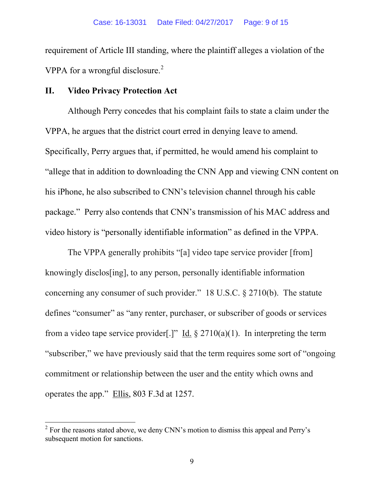requirement of Article III standing, where the plaintiff alleges a violation of the VPPA for a wrongful disclosure.<sup>[2](#page-8-0)</sup>

## **II. Video Privacy Protection Act**

Although Perry concedes that his complaint fails to state a claim under the VPPA, he argues that the district court erred in denying leave to amend. Specifically, Perry argues that, if permitted, he would amend his complaint to "allege that in addition to downloading the CNN App and viewing CNN content on his iPhone, he also subscribed to CNN's television channel through his cable package." Perry also contends that CNN's transmission of his MAC address and video history is "personally identifiable information" as defined in the VPPA.

The VPPA generally prohibits "[a] video tape service provider [from] knowingly disclos[ing], to any person, personally identifiable information concerning any consumer of such provider." 18 U.S.C. § 2710(b). The statute defines "consumer" as "any renter, purchaser, or subscriber of goods or services from a video tape service provider[.]" Id.  $\S 2710(a)(1)$ . In interpreting the term "subscriber," we have previously said that the term requires some sort of "ongoing commitment or relationship between the user and the entity which owns and operates the app." Ellis, 803 F.3d at 1257.

<span id="page-8-0"></span> $2^2$  For the reasons stated above, we deny CNN's motion to dismiss this appeal and Perry's subsequent motion for sanctions.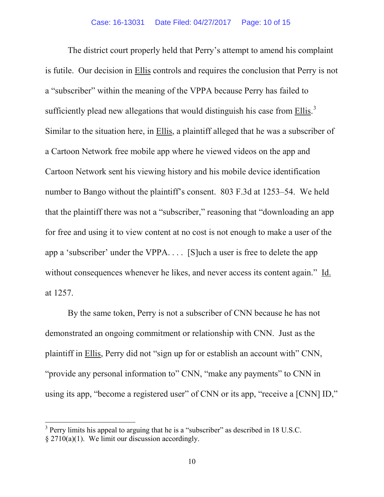The district court properly held that Perry's attempt to amend his complaint is futile. Our decision in Ellis controls and requires the conclusion that Perry is not a "subscriber" within the meaning of the VPPA because Perry has failed to sufficiently plead new allegations that would distinguish his case from  $\frac{Ellis}{3}$  $\frac{Ellis}{3}$  $\frac{Ellis}{3}$ . Similar to the situation here, in Ellis, a plaintiff alleged that he was a subscriber of a Cartoon Network free mobile app where he viewed videos on the app and Cartoon Network sent his viewing history and his mobile device identification number to Bango without the plaintiff's consent. 803 F.3d at 1253–54. We held that the plaintiff there was not a "subscriber," reasoning that "downloading an app for free and using it to view content at no cost is not enough to make a user of the app a 'subscriber' under the VPPA. . . . [S]uch a user is free to delete the app without consequences whenever he likes, and never access its content again." Id. at 1257.

By the same token, Perry is not a subscriber of CNN because he has not demonstrated an ongoing commitment or relationship with CNN. Just as the plaintiff in Ellis, Perry did not "sign up for or establish an account with" CNN, "provide any personal information to" CNN, "make any payments" to CNN in using its app, "become a registered user" of CNN or its app, "receive a [CNN] ID,"

<span id="page-9-0"></span> $3$  Perry limits his appeal to arguing that he is a "subscriber" as described in 18 U.S.C. § 2710(a)(1). We limit our discussion accordingly.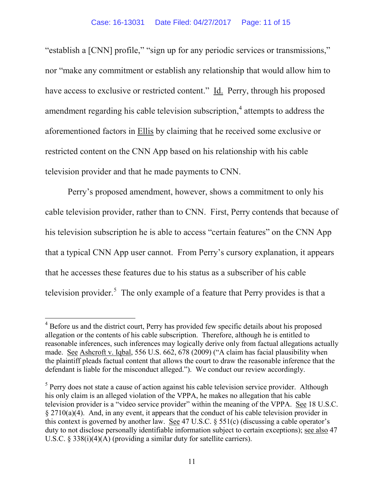"establish a [CNN] profile," "sign up for any periodic services or transmissions," nor "make any commitment or establish any relationship that would allow him to have access to exclusive or restricted content." Id. Perry, through his proposed amendment regarding his cable television subscription, [4](#page-10-0) attempts to address the aforementioned factors in Ellis by claiming that he received some exclusive or restricted content on the CNN App based on his relationship with his cable television provider and that he made payments to CNN.

Perry's proposed amendment, however, shows a commitment to only his cable television provider, rather than to CNN. First, Perry contends that because of his television subscription he is able to access "certain features" on the CNN App that a typical CNN App user cannot. From Perry's cursory explanation, it appears that he accesses these features due to his status as a subscriber of his cable television provider.<sup>[5](#page-10-1)</sup> The only example of a feature that Perry provides is that a

<span id="page-10-0"></span><sup>&</sup>lt;sup>4</sup> Before us and the district court, Perry has provided few specific details about his proposed allegation or the contents of his cable subscription. Therefore, although he is entitled to reasonable inferences, such inferences may logically derive only from factual allegations actually made. See Ashcroft v. Iqbal, 556 U.S. 662, 678 (2009) ("A claim has facial plausibility when the plaintiff pleads factual content that allows the court to draw the reasonable inference that the defendant is liable for the misconduct alleged."). We conduct our review accordingly.

<span id="page-10-1"></span><sup>&</sup>lt;sup>5</sup> Perry does not state a cause of action against his cable television service provider. Although his only claim is an alleged violation of the VPPA, he makes no allegation that his cable television provider is a "video service provider" within the meaning of the VPPA. See 18 U.S.C.  $\S 2710(a)(4)$ . And, in any event, it appears that the conduct of his cable television provider in this context is governed by another law. See 47 U.S.C. § 551(c) (discussing a cable operator's duty to not disclose personally identifiable information subject to certain exceptions); see also 47 U.S.C. § 338(i)(4)(A) (providing a similar duty for satellite carriers).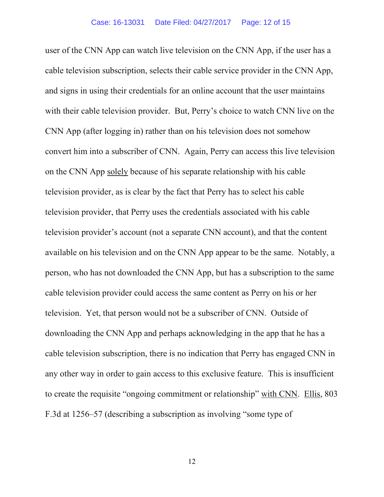user of the CNN App can watch live television on the CNN App, if the user has a cable television subscription, selects their cable service provider in the CNN App, and signs in using their credentials for an online account that the user maintains with their cable television provider. But, Perry's choice to watch CNN live on the CNN App (after logging in) rather than on his television does not somehow convert him into a subscriber of CNN. Again, Perry can access this live television on the CNN App solely because of his separate relationship with his cable television provider, as is clear by the fact that Perry has to select his cable television provider, that Perry uses the credentials associated with his cable television provider's account (not a separate CNN account), and that the content available on his television and on the CNN App appear to be the same. Notably, a person, who has not downloaded the CNN App, but has a subscription to the same cable television provider could access the same content as Perry on his or her television. Yet, that person would not be a subscriber of CNN. Outside of downloading the CNN App and perhaps acknowledging in the app that he has a cable television subscription, there is no indication that Perry has engaged CNN in any other way in order to gain access to this exclusive feature. This is insufficient to create the requisite "ongoing commitment or relationship" with CNN. Ellis, 803 F.3d at 1256–57 (describing a subscription as involving "some type of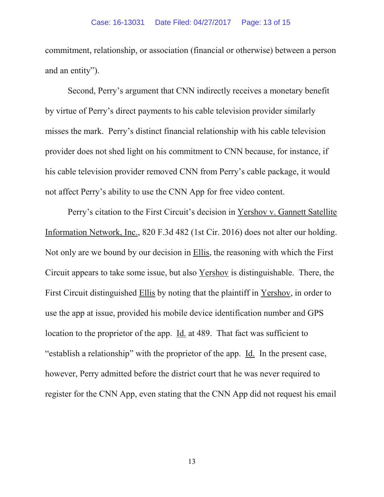commitment, relationship, or association (financial or otherwise) between a person and an entity").

Second, Perry's argument that CNN indirectly receives a monetary benefit by virtue of Perry's direct payments to his cable television provider similarly misses the mark. Perry's distinct financial relationship with his cable television provider does not shed light on his commitment to CNN because, for instance, if his cable television provider removed CNN from Perry's cable package, it would not affect Perry's ability to use the CNN App for free video content.

Perry's citation to the First Circuit's decision in Yershov v. Gannett Satellite Information Network, Inc., 820 F.3d 482 (1st Cir. 2016) does not alter our holding. Not only are we bound by our decision in Ellis, the reasoning with which the First Circuit appears to take some issue, but also Yershov is distinguishable. There, the First Circuit distinguished Ellis by noting that the plaintiff in Yershov, in order to use the app at issue, provided his mobile device identification number and GPS location to the proprietor of the app. Id. at 489. That fact was sufficient to "establish a relationship" with the proprietor of the app. Id. In the present case, however, Perry admitted before the district court that he was never required to register for the CNN App, even stating that the CNN App did not request his email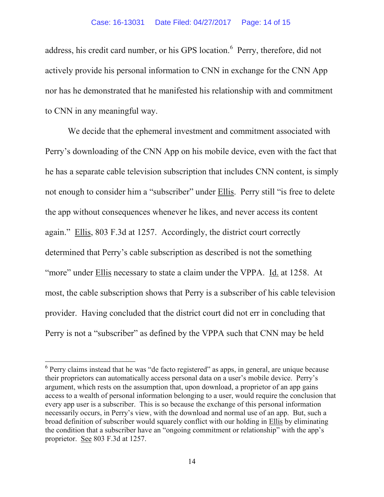address, his credit card number, or his GPS location.<sup>[6](#page-13-0)</sup> Perry, therefore, did not actively provide his personal information to CNN in exchange for the CNN App nor has he demonstrated that he manifested his relationship with and commitment to CNN in any meaningful way.

We decide that the ephemeral investment and commitment associated with Perry's downloading of the CNN App on his mobile device, even with the fact that he has a separate cable television subscription that includes CNN content, is simply not enough to consider him a "subscriber" under Ellis. Perry still "is free to delete the app without consequences whenever he likes, and never access its content again." Ellis, 803 F.3d at 1257. Accordingly, the district court correctly determined that Perry's cable subscription as described is not the something "more" under Ellis necessary to state a claim under the VPPA. Id. at 1258. At most, the cable subscription shows that Perry is a subscriber of his cable television provider. Having concluded that the district court did not err in concluding that Perry is not a "subscriber" as defined by the VPPA such that CNN may be held

<span id="page-13-0"></span><sup>&</sup>lt;sup>6</sup> Perry claims instead that he was "de facto registered" as apps, in general, are unique because their proprietors can automatically access personal data on a user's mobile device. Perry's argument, which rests on the assumption that, upon download, a proprietor of an app gains access to a wealth of personal information belonging to a user, would require the conclusion that every app user is a subscriber. This is so because the exchange of this personal information necessarily occurs, in Perry's view, with the download and normal use of an app. But, such a broad definition of subscriber would squarely conflict with our holding in Ellis by eliminating the condition that a subscriber have an "ongoing commitment or relationship" with the app's proprietor. See 803 F.3d at 1257.